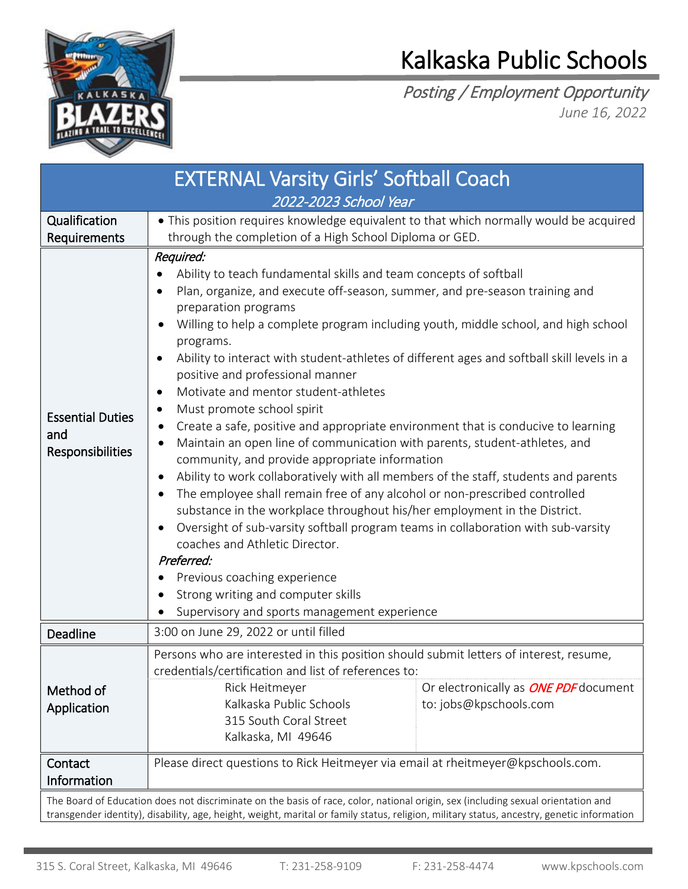

## Kalkaska Public Schools

Posting / Employment Opportunity *June 16, 2022*

| <b>EXTERNAL Varsity Girls' Softball Coach</b>                                                                                    |                                                                                                                                                                                                                                                                                                                                                                                                                                                                                                                                                                                                                                                                                                                                                                                                                                                                                                                                                                                                                                                                                                                                                                                                                                                 |                                                                        |
|----------------------------------------------------------------------------------------------------------------------------------|-------------------------------------------------------------------------------------------------------------------------------------------------------------------------------------------------------------------------------------------------------------------------------------------------------------------------------------------------------------------------------------------------------------------------------------------------------------------------------------------------------------------------------------------------------------------------------------------------------------------------------------------------------------------------------------------------------------------------------------------------------------------------------------------------------------------------------------------------------------------------------------------------------------------------------------------------------------------------------------------------------------------------------------------------------------------------------------------------------------------------------------------------------------------------------------------------------------------------------------------------|------------------------------------------------------------------------|
| 2022-2023 School Year                                                                                                            |                                                                                                                                                                                                                                                                                                                                                                                                                                                                                                                                                                                                                                                                                                                                                                                                                                                                                                                                                                                                                                                                                                                                                                                                                                                 |                                                                        |
| Qualification<br>Requirements                                                                                                    | • This position requires knowledge equivalent to that which normally would be acquired<br>through the completion of a High School Diploma or GED.                                                                                                                                                                                                                                                                                                                                                                                                                                                                                                                                                                                                                                                                                                                                                                                                                                                                                                                                                                                                                                                                                               |                                                                        |
| <b>Essential Duties</b><br>and<br>Responsibilities                                                                               | Required:<br>Ability to teach fundamental skills and team concepts of softball<br>Plan, organize, and execute off-season, summer, and pre-season training and<br>preparation programs<br>Willing to help a complete program including youth, middle school, and high school<br>programs.<br>Ability to interact with student-athletes of different ages and softball skill levels in a<br>positive and professional manner<br>Motivate and mentor student-athletes<br>Must promote school spirit<br>Create a safe, positive and appropriate environment that is conducive to learning<br>Maintain an open line of communication with parents, student-athletes, and<br>$\bullet$<br>community, and provide appropriate information<br>Ability to work collaboratively with all members of the staff, students and parents<br>The employee shall remain free of any alcohol or non-prescribed controlled<br>substance in the workplace throughout his/her employment in the District.<br>Oversight of sub-varsity softball program teams in collaboration with sub-varsity<br>coaches and Athletic Director.<br>Preferred:<br>Previous coaching experience<br>Strong writing and computer skills<br>Supervisory and sports management experience |                                                                        |
| Deadline                                                                                                                         | 3:00 on June 29, 2022 or until filled                                                                                                                                                                                                                                                                                                                                                                                                                                                                                                                                                                                                                                                                                                                                                                                                                                                                                                                                                                                                                                                                                                                                                                                                           |                                                                        |
| Method of<br>Application                                                                                                         | Persons who are interested in this position should submit letters of interest, resume,<br>credentials/certification and list of references to:<br>Rick Heitmeyer<br>Kalkaska Public Schools<br>315 South Coral Street<br>Kalkaska, MI 49646                                                                                                                                                                                                                                                                                                                                                                                                                                                                                                                                                                                                                                                                                                                                                                                                                                                                                                                                                                                                     | Or electronically as <b>ONE PDF</b> document<br>to: jobs@kpschools.com |
| Contact<br>Information                                                                                                           | Please direct questions to Rick Heitmeyer via email at rheitmeyer@kpschools.com.                                                                                                                                                                                                                                                                                                                                                                                                                                                                                                                                                                                                                                                                                                                                                                                                                                                                                                                                                                                                                                                                                                                                                                |                                                                        |
| The Board of Education does not discriminate on the basis of race, color, national origin, sex (including sexual orientation and |                                                                                                                                                                                                                                                                                                                                                                                                                                                                                                                                                                                                                                                                                                                                                                                                                                                                                                                                                                                                                                                                                                                                                                                                                                                 |                                                                        |

transgender identity), disability, age, height, weight, marital or family status, religion, military status, ancestry, genetic information